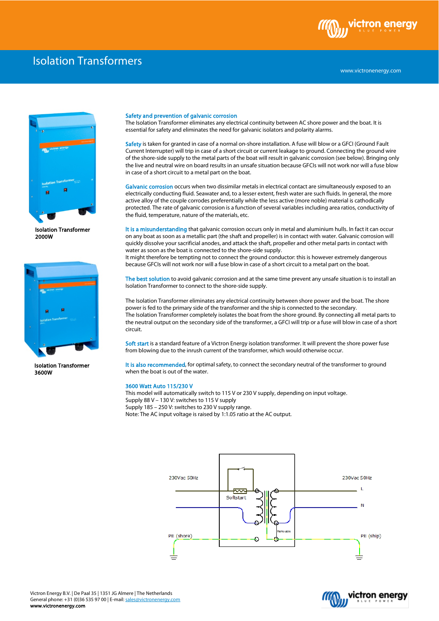

## Isolation Transformers



Isolation Transformer 2000W



Isolation Transformer 3600W

## Safety and prevention of galvanic corrosion

The Isolation Transformer eliminates any electrical continuity between AC shore power and the boat. It is essential for safety and eliminates the need for galvanic isolators and polarity alarms.

Safety is taken for granted in case of a normal on-shore installation. A fuse will blow or a GFCI (Ground Fault Current Interrupter) will trip in case of a short circuit or current leakage to ground. Connecting the ground wire of the shore-side supply to the metal parts of the boat will result in galvanic corrosion (see below). Bringing only the live and neutral wire on board results in an unsafe situation because GFCIs will not work nor will a fuse blow in case of a short circuit to a metal part on the boat.

Galvanic corrosion occurs when two dissimilar metals in electrical contact are simultaneously exposed to an electrically conducting fluid. Seawater and, to a lesser extent, fresh water are such fluids. In general, the more active alloy of the couple corrodes preferentially while the less active (more noble) material is cathodically protected. The rate of galvanic corrosion is a function of several variables including area ratios, conductivity of the fluid, temperature, nature of the materials, etc.

It is a misunderstanding that galvanic corrosion occurs only in metal and aluminium hulls. In fact it can occur on any boat as soon as a metallic part (the shaft and propeller) is in contact with water. Galvanic corrosion will quickly dissolve your sacrificial anodes, and attack the shaft, propeller and other metal parts in contact with water as soon as the boat is connected to the shore-side supply.

It might therefore be tempting not to connect the ground conductor: this is however extremely dangerous because GFCIs will not work nor will a fuse blow in case of a short circuit to a metal part on the boat.

The best solution to avoid galvanic corrosion and at the same time prevent any unsafe situation is to install an Isolation Transformer to connect to the shore-side supply.

The Isolation Transformer eliminates any electrical continuity between shore power and the boat. The shore power is fed to the primary side of the transformer and the ship is connected to the secondary. The Isolation Transformer completely isolates the boat from the shore ground. By connecting all metal parts to the neutral output on the secondary side of the transformer, a GFCI will trip or a fuse will blow in case of a short circuit.

Soft start is a standard feature of a Victron Energy isolation transformer. It will prevent the shore power fuse from blowing due to the inrush current of the transformer, which would otherwise occur.

It is also recommended, for optimal safety, to connect the secondary neutral of the transformer to ground when the boat is out of the water.

## 3600 Watt Auto 115/230 V

This model will automatically switch to 115 V or 230 V supply, depending on input voltage. Supply 88 V – 130 V: switches to 115 V supply Supply 185 – 250 V: switches to 230 V supply range. Note: The AC input voltage is raised by 1:1.05 ratio at the AC output.